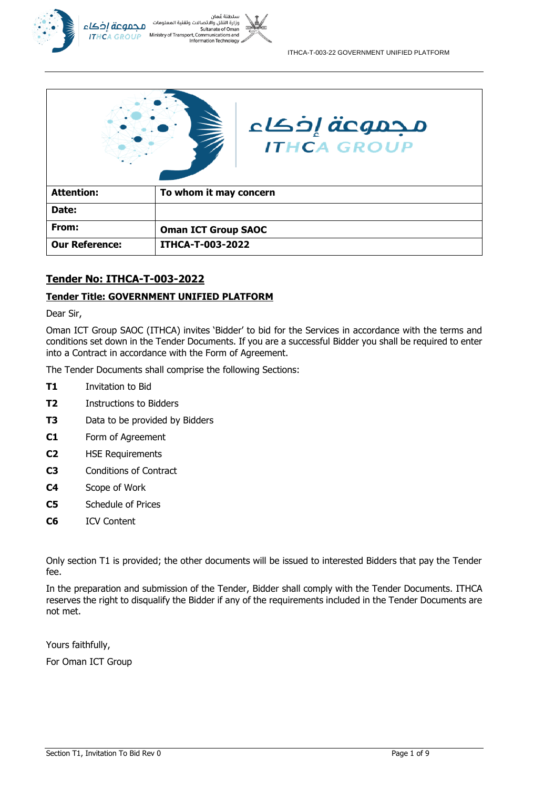



| Date:                 |                            |
|-----------------------|----------------------------|
| From:                 | <b>Oman ICT Group SAOC</b> |
| <b>Our Reference:</b> | <b>ITHCA-T-003-2022</b>    |

## **Tender No: ITHCA-T-003-2022**

## **Tender Title: GOVERNMENT UNIFIED PLATFORM**

Dear Sir,

Oman ICT Group SAOC (ITHCA) invites 'Bidder' to bid for the Services in accordance with the terms and conditions set down in the Tender Documents. If you are a successful Bidder you shall be required to enter into a Contract in accordance with the Form of Agreement.

The Tender Documents shall comprise the following Sections:

- **T1** Invitation to Bid
- **T2** Instructions to Bidders
- **T3** Data to be provided by Bidders
- **C1** Form of Agreement
- **C2** HSE Requirements
- **C3** Conditions of Contract
- **C4** Scope of Work
- **C5** Schedule of Prices
- **C6** ICV Content

Only section T1 is provided; the other documents will be issued to interested Bidders that pay the Tender fee.

In the preparation and submission of the Tender, Bidder shall comply with the Tender Documents. ITHCA reserves the right to disqualify the Bidder if any of the requirements included in the Tender Documents are not met.

Yours faithfully,

For Oman ICT Group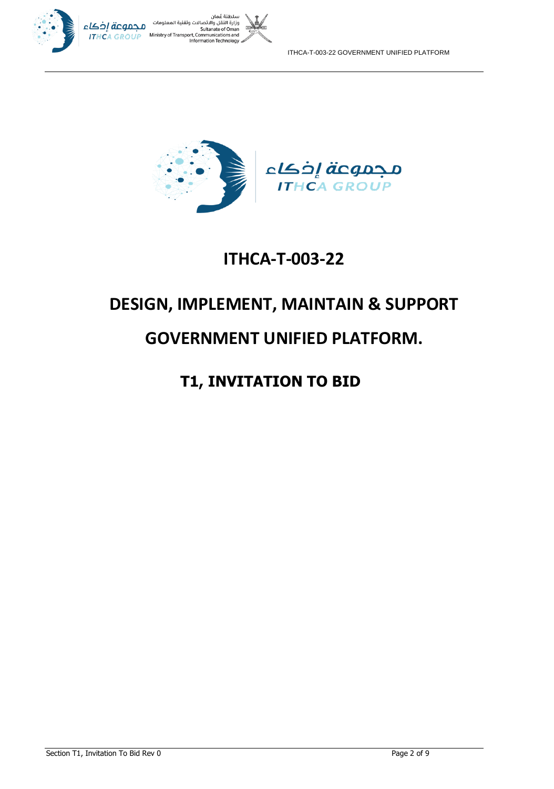

ITHCA-T-003-22 GOVERNMENT UNIFIED PLATFORM



# **ITHCA-T-003-22**

# **DESIGN, IMPLEMENT, MAINTAIN & SUPPORT**

# **GOVERNMENT UNIFIED PLATFORM.**

## **T1, INVITATION TO BID**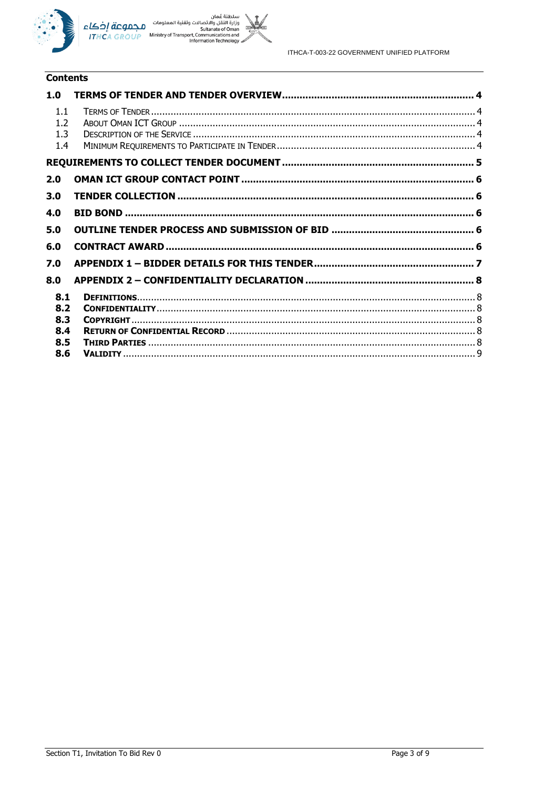



## **Contents**

| 1.0                      |  |
|--------------------------|--|
| 1.1<br>1.2<br>1.3<br>1.4 |  |
|                          |  |
| 2.0                      |  |
| 3.0                      |  |
| 4.0                      |  |
| 5.0                      |  |
| 6.0                      |  |
| 7.0                      |  |
| 8.0                      |  |
| 8.1<br>8.2               |  |
| 8.3<br>8.4               |  |
| 8.5                      |  |
| 8.6                      |  |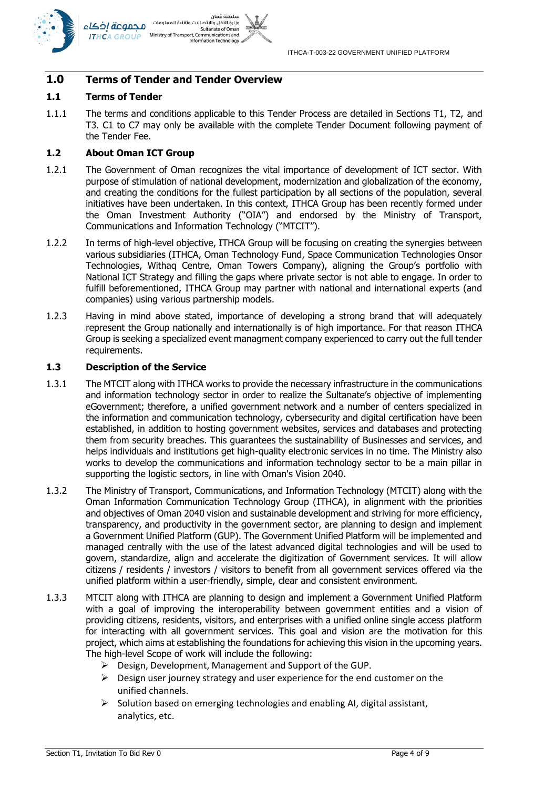



## **1.0 Terms of Tender and Tender Overview**

#### **1.1 Terms of Tender**

1.1.1 The terms and conditions applicable to this Tender Process are detailed in Sections T1, T2, and T3. C1 to C7 may only be available with the complete Tender Document following payment of the Tender Fee.

#### **1.2 About Oman ICT Group**

- 1.2.1 The Government of Oman recognizes the vital importance of development of ICT sector. With purpose of stimulation of national development, modernization and globalization of the economy, and creating the conditions for the fullest participation by all sections of the population, several initiatives have been undertaken. In this context, ITHCA Group has been recently formed under the Oman Investment Authority ("OIA") and endorsed by the Ministry of Transport, Communications and Information Technology ("MTCIT").
- 1.2.2 In terms of high-level objective, ITHCA Group will be focusing on creating the synergies between various subsidiaries (ITHCA, Oman Technology Fund, Space Communication Technologies Onsor Technologies, Withaq Centre, Oman Towers Company), aligning the Group's portfolio with National ICT Strategy and filling the gaps where private sector is not able to engage. In order to fulfill beforementioned, ITHCA Group may partner with national and international experts (and companies) using various partnership models.
- 1.2.3 Having in mind above stated, importance of developing a strong brand that will adequately represent the Group nationally and internationally is of high importance. For that reason ITHCA Group is seeking a specialized event managment company experienced to carry out the full tender requirements.

#### **1.3 Description of the Service**

- 1.3.1 The MTCIT along with ITHCA works to provide the necessary infrastructure in the communications and information technology sector in order to realize the Sultanate's objective of implementing eGovernment; therefore, a unified government network and a number of centers specialized in the information and communication technology, cybersecurity and digital certification have been established, in addition to hosting government websites, services and databases and protecting them from security breaches. This guarantees the sustainability of Businesses and services, and helps individuals and institutions get high-quality electronic services in no time. The Ministry also works to develop the communications and information technology sector to be a main pillar in supporting the logistic sectors, in line with Oman's Vision 2040.
- 1.3.2 The Ministry of Transport, Communications, and Information Technology (MTCIT) along with the Oman Information Communication Technology Group (ITHCA), in alignment with the priorities and objectives of Oman 2040 vision and sustainable development and striving for more efficiency, transparency, and productivity in the government sector, are planning to design and implement a Government Unified Platform (GUP). The Government Unified Platform will be implemented and managed centrally with the use of the latest advanced digital technologies and will be used to govern, standardize, align and accelerate the digitization of Government services. It will allow citizens / residents / investors / visitors to benefit from all government services offered via the unified platform within a user-friendly, simple, clear and consistent environment.
- 1.3.3 MTCIT along with ITHCA are planning to design and implement a Government Unified Platform with a goal of improving the interoperability between government entities and a vision of providing citizens, residents, visitors, and enterprises with a unified online single access platform for interacting with all government services. This goal and vision are the motivation for this project, which aims at establishing the foundations for achieving this vision in the upcoming years. The high-level Scope of work will include the following:
	- ➢ Design, Development, Management and Support of the GUP.
	- $\triangleright$  Design user journey strategy and user experience for the end customer on the unified channels.
	- $\triangleright$  Solution based on emerging technologies and enabling AI, digital assistant, analytics, etc.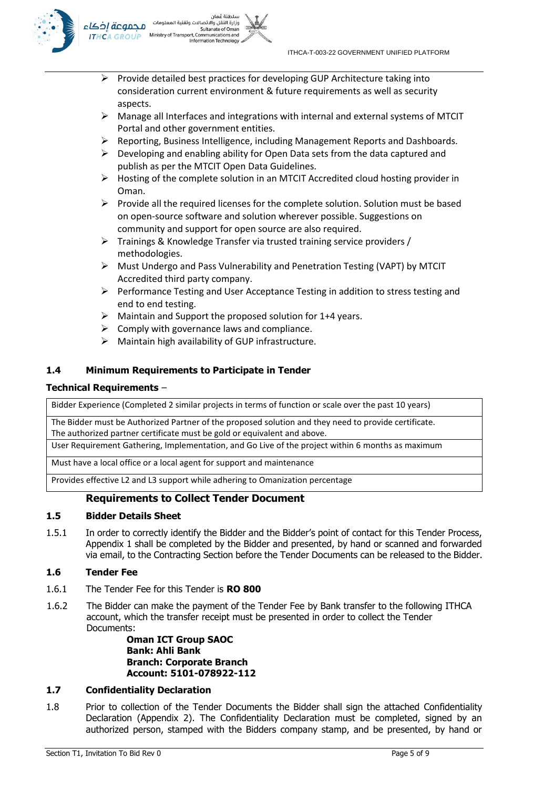

- وزارة النقل والاتصالات وتقنية المعلومات محموعة إخكاء Sultanate of Omar Ministry of Transport, Communications and **ITHCA GROUP** ormation Technology
	- $\triangleright$  Provide detailed best practices for developing GUP Architecture taking into consideration current environment & future requirements as well as security aspects.

سلطنة عُمان

- $\triangleright$  Manage all Interfaces and integrations with internal and external systems of MTCIT Portal and other government entities.
- $\triangleright$  Reporting, Business Intelligence, including Management Reports and Dashboards.
- $\triangleright$  Developing and enabling ability for Open Data sets from the data captured and publish as per the MTCIT Open Data Guidelines.
- $\triangleright$  Hosting of the complete solution in an MTCIT Accredited cloud hosting provider in Oman.
- $\triangleright$  Provide all the required licenses for the complete solution. Solution must be based on open-source software and solution wherever possible. Suggestions on community and support for open source are also required.
- ➢ Trainings & Knowledge Transfer via trusted training service providers / methodologies.
- ➢ Must Undergo and Pass Vulnerability and Penetration Testing (VAPT) by MTCIT Accredited third party company.
- $\triangleright$  Performance Testing and User Acceptance Testing in addition to stress testing and end to end testing.
- $\triangleright$  Maintain and Support the proposed solution for 1+4 years.
- $\triangleright$  Comply with governance laws and compliance.
- $\triangleright$  Maintain high availability of GUP infrastructure.

## **1.4 Minimum Requirements to Participate in Tender**

## **Technical Requirements** –

Bidder Experience (Completed 2 similar projects in terms of function or scale over the past 10 years)

The Bidder must be Authorized Partner of the proposed solution and they need to provide certificate. The authorized partner certificate must be gold or equivalent and above.

User Requirement Gathering, Implementation, and Go Live of the project within 6 months as maximum

Must have a local office or a local agent for support and maintenance

Provides effective L2 and L3 support while adhering to Omanization percentage

## **Requirements to Collect Tender Document**

#### **1.5 Bidder Details Sheet**

1.5.1 In order to correctly identify the Bidder and the Bidder's point of contact for this Tender Process, Appendix 1 shall be completed by the Bidder and presented, by hand or scanned and forwarded via email, to the Contracting Section before the Tender Documents can be released to the Bidder.

## **1.6 Tender Fee**

- 1.6.1 The Tender Fee for this Tender is **RO 800**
- 1.6.2 The Bidder can make the payment of the Tender Fee by Bank transfer to the following ITHCA account, which the transfer receipt must be presented in order to collect the Tender Documents:

**Oman ICT Group SAOC Bank: Ahli Bank Branch: Corporate Branch Account: 5101-078922-112**

### **1.7 Confidentiality Declaration**

1.8 Prior to collection of the Tender Documents the Bidder shall sign the attached Confidentiality Declaration (Appendix 2). The Confidentiality Declaration must be completed, signed by an authorized person, stamped with the Bidders company stamp, and be presented, by hand or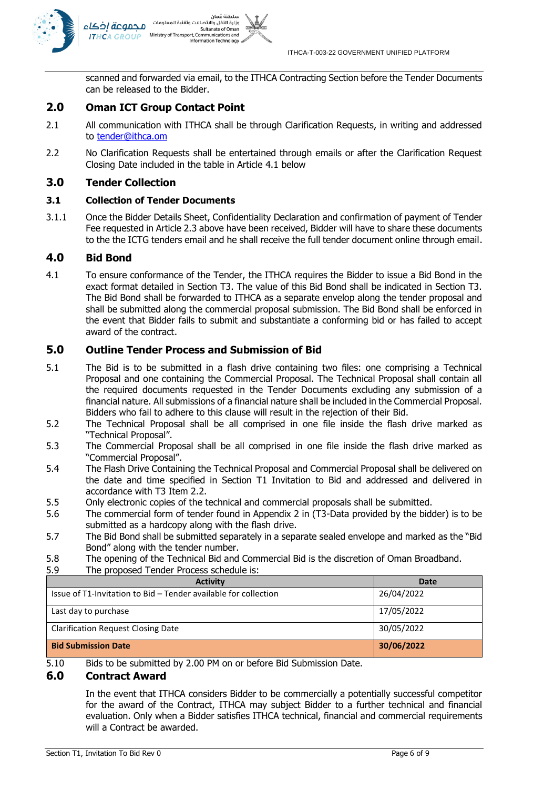

scanned and forwarded via email, to the ITHCA Contracting Section before the Tender Documents can be released to the Bidder.

## **2.0 Oman ICT Group Contact Point**

- 2.1 All communication with ITHCA shall be through Clarification Requests, in writing and addressed to **tender@ithca.om**
- 2.2 No Clarification Requests shall be entertained through emails or after the Clarification Request Closing Date included in the table in Article [4.1 below](#page-5-0)

## **3.0 Tender Collection**

## **3.1 Collection of Tender Documents**

3.1.1 Once the Bidder Details Sheet, Confidentiality Declaration and confirmation of payment of Tender Fee requested in Article 2.3 above have been received, Bidder will have to share these documents to the the ICTG tenders email and he shall receive the full tender document online through email.

## **4.0 Bid Bond**

<span id="page-5-0"></span>4.1 To ensure conformance of the Tender, the ITHCA requires the Bidder to issue a Bid Bond in the exact format detailed in Section T3. The value of this Bid Bond shall be indicated in Section T3. The Bid Bond shall be forwarded to ITHCA as a separate envelop along the tender proposal and shall be submitted along the commercial proposal submission. The Bid Bond shall be enforced in the event that Bidder fails to submit and substantiate a conforming bid or has failed to accept award of the contract.

## **5.0 Outline Tender Process and Submission of Bid**

- 5.1 The Bid is to be submitted in a flash drive containing two files: one comprising a Technical Proposal and one containing the Commercial Proposal. The Technical Proposal shall contain all the required documents requested in the Tender Documents excluding any submission of a financial nature. All submissions of a financial nature shall be included in the Commercial Proposal. Bidders who fail to adhere to this clause will result in the rejection of their Bid.
- 5.2 The Technical Proposal shall be all comprised in one file inside the flash drive marked as "Technical Proposal".
- 5.3 The Commercial Proposal shall be all comprised in one file inside the flash drive marked as "Commercial Proposal".
- 5.4 The Flash Drive Containing the Technical Proposal and Commercial Proposal shall be delivered on the date and time specified in Section T1 Invitation to Bid and addressed and delivered in accordance with T3 Item 2.2.
- 5.5 Only electronic copies of the technical and commercial proposals shall be submitted.
- 5.6 The commercial form of tender found in Appendix 2 in (T3-Data provided by the bidder) is to be submitted as a hardcopy along with the flash drive.
- 5.7 The Bid Bond shall be submitted separately in a separate sealed envelope and marked as the "Bid Bond" along with the tender number.
- 5.8 The opening of the Technical Bid and Commercial Bid is the discretion of Oman Broadband.
- 5.9 The proposed Tender Process schedule is:

| <b>Activity</b>                                                 | Date       |
|-----------------------------------------------------------------|------------|
| Issue of T1-Invitation to Bid – Tender available for collection | 26/04/2022 |
| Last day to purchase                                            | 17/05/2022 |
| <b>Clarification Request Closing Date</b>                       | 30/05/2022 |
| <b>Bid Submission Date</b>                                      | 30/06/2022 |

5.10 Bids to be submitted by 2.00 PM on or before Bid Submission Date.

## **6.0 Contract Award**

In the event that ITHCA considers Bidder to be commercially a potentially successful competitor for the award of the Contract, ITHCA may subject Bidder to a further technical and financial evaluation. Only when a Bidder satisfies ITHCA technical, financial and commercial requirements will a Contract be awarded.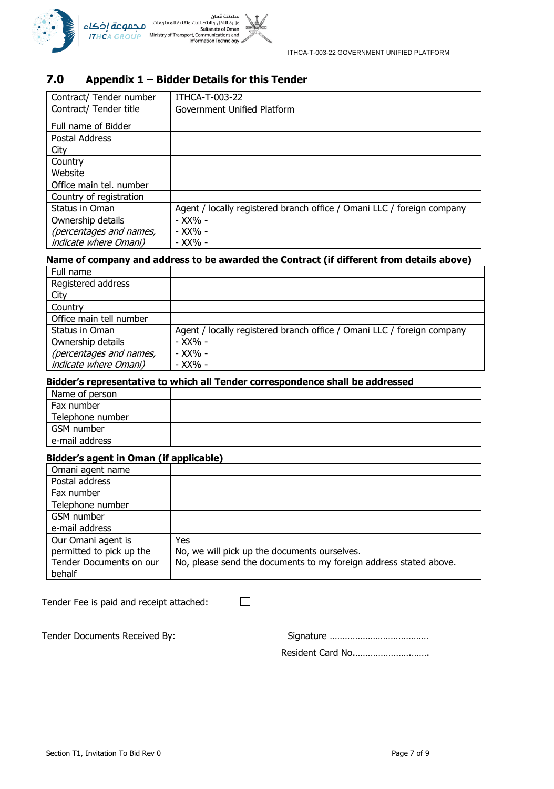

## **7.0 Appendix 1 – Bidder Details for this Tender**

| Contract/ Tender number      | ITHCA-T-003-22                                                         |
|------------------------------|------------------------------------------------------------------------|
| Contract/ Tender title       | Government Unified Platform                                            |
| Full name of Bidder          |                                                                        |
| Postal Address               |                                                                        |
| City                         |                                                                        |
| Country                      |                                                                        |
| Website                      |                                                                        |
| Office main tel. number      |                                                                        |
| Country of registration      |                                                                        |
| Status in Oman               | Agent / locally registered branch office / Omani LLC / foreign company |
| Ownership details            | - XX% -                                                                |
| (percentages and names,      | - XX% -                                                                |
| <i>indicate where Omani)</i> | - XX% -                                                                |

## **Name of company and address to be awarded the Contract (if different from details above)**

| Full name               |                                                                        |
|-------------------------|------------------------------------------------------------------------|
| Registered address      |                                                                        |
| City                    |                                                                        |
| Country                 |                                                                        |
| Office main tell number |                                                                        |
| Status in Oman          | Agent / locally registered branch office / Omani LLC / foreign company |
| Ownership details       | - XX% -                                                                |
| (percentages and names, | - XX% -                                                                |
| indicate where Omani)   | - XX% -                                                                |

## **Bidder's representative to which all Tender correspondence shall be addressed**

| Name of person   |  |
|------------------|--|
| Fax number       |  |
| Telephone number |  |
| GSM number       |  |
| e-mail address   |  |

## **Bidder's agent in Oman (if applicable)**

| Omani agent name         |                                                                   |
|--------------------------|-------------------------------------------------------------------|
| Postal address           |                                                                   |
| Fax number               |                                                                   |
| Telephone number         |                                                                   |
| GSM number               |                                                                   |
| e-mail address           |                                                                   |
| Our Omani agent is       | Yes                                                               |
| permitted to pick up the | No, we will pick up the documents ourselves.                      |
| Tender Documents on our  | No, please send the documents to my foreign address stated above. |
| behalf                   |                                                                   |

 $\Box$ 

Tender Fee is paid and receipt attached:

Tender Documents Received By:

|--|--|

Resident Card No.………………….…….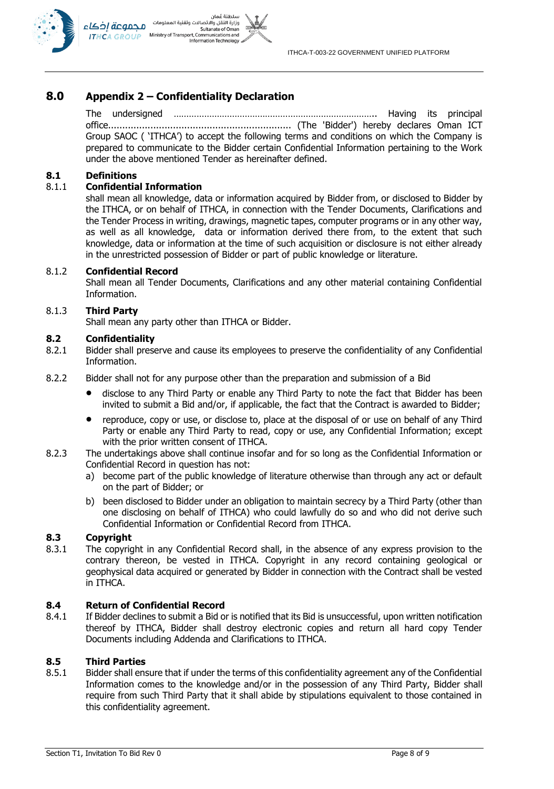

## **8.0 Appendix 2 – Confidentiality Declaration**

The undersigned …………………………………………………………………….. Having its principal office................................................................. (The 'Bidder') hereby declares Oman ICT Group SAOC ( 'ITHCA') to accept the following terms and conditions on which the Company is prepared to communicate to the Bidder certain Confidential Information pertaining to the Work under the above mentioned Tender as hereinafter defined.

#### **8.1 Definitions**

### 8.1.1 **Confidential Information**

shall mean all knowledge, data or information acquired by Bidder from, or disclosed to Bidder by the ITHCA, or on behalf of ITHCA, in connection with the Tender Documents, Clarifications and the Tender Process in writing, drawings, magnetic tapes, computer programs or in any other way, as well as all knowledge, data or information derived there from, to the extent that such knowledge, data or information at the time of such acquisition or disclosure is not either already in the unrestricted possession of Bidder or part of public knowledge or literature.

#### 8.1.2 **Confidential Record**

Shall mean all Tender Documents, Clarifications and any other material containing Confidential Information.

#### 8.1.3 **Third Party**

Shall mean any party other than ITHCA or Bidder.

#### **8.2 Confidentiality**

- 8.2.1 Bidder shall preserve and cause its employees to preserve the confidentiality of any Confidential Information.
- 8.2.2 Bidder shall not for any purpose other than the preparation and submission of a Bid
	- disclose to any Third Party or enable any Third Party to note the fact that Bidder has been invited to submit a Bid and/or, if applicable, the fact that the Contract is awarded to Bidder;
	- reproduce, copy or use, or disclose to, place at the disposal of or use on behalf of any Third Party or enable any Third Party to read, copy or use, any Confidential Information; except with the prior written consent of ITHCA.
- 8.2.3 The undertakings above shall continue insofar and for so long as the Confidential Information or Confidential Record in question has not:
	- a) become part of the public knowledge of literature otherwise than through any act or default on the part of Bidder; or
	- b) been disclosed to Bidder under an obligation to maintain secrecy by a Third Party (other than one disclosing on behalf of ITHCA) who could lawfully do so and who did not derive such Confidential Information or Confidential Record from ITHCA.

### **8.3 Copyright**

8.3.1 The copyright in any Confidential Record shall, in the absence of any express provision to the contrary thereon, be vested in ITHCA. Copyright in any record containing geological or geophysical data acquired or generated by Bidder in connection with the Contract shall be vested in ITHCA.

#### **8.4 Return of Confidential Record**

8.4.1 If Bidder declines to submit a Bid or is notified that its Bid is unsuccessful, upon written notification thereof by ITHCA, Bidder shall destroy electronic copies and return all hard copy Tender Documents including Addenda and Clarifications to ITHCA.

#### **8.5 Third Parties**

8.5.1 Bidder shall ensure that if under the terms of this confidentiality agreement any of the Confidential Information comes to the knowledge and/or in the possession of any Third Party, Bidder shall require from such Third Party that it shall abide by stipulations equivalent to those contained in this confidentiality agreement.